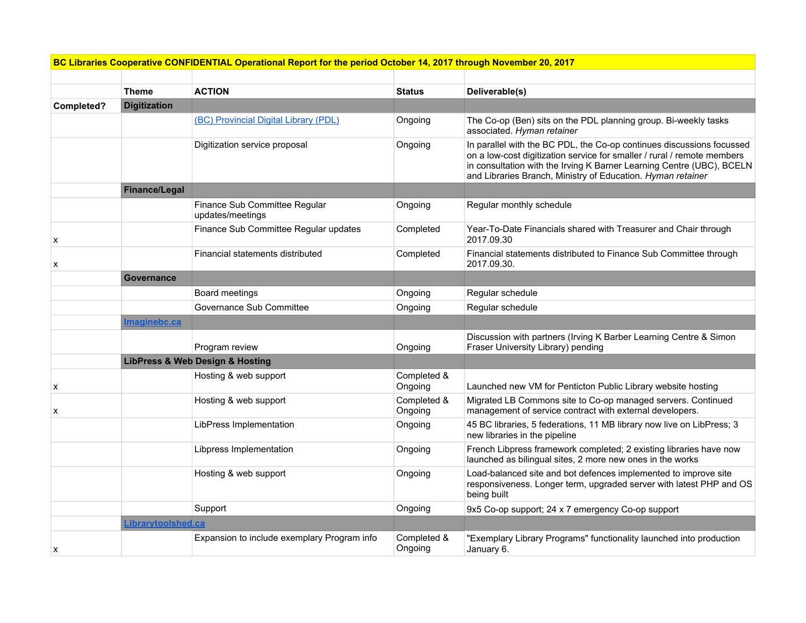| BC Libraries Cooperative CONFIDENTIAL Operational Report for the period October 14, 2017 through November 20, 2017 |  |
|--------------------------------------------------------------------------------------------------------------------|--|
|--------------------------------------------------------------------------------------------------------------------|--|

|            | <b>Theme</b>         | <b>ACTION</b>                                     | <b>Status</b>          | Deliverable(s)                                                                                                                                                                                                                                                                           |
|------------|----------------------|---------------------------------------------------|------------------------|------------------------------------------------------------------------------------------------------------------------------------------------------------------------------------------------------------------------------------------------------------------------------------------|
| Completed? | <b>Digitization</b>  |                                                   |                        |                                                                                                                                                                                                                                                                                          |
|            |                      | (BC) Provincial Digital Library (PDL)             | Ongoing                | The Co-op (Ben) sits on the PDL planning group. Bi-weekly tasks<br>associated. Hyman retainer                                                                                                                                                                                            |
|            |                      | Digitization service proposal                     | Ongoing                | In parallel with the BC PDL, the Co-op continues discussions focussed<br>on a low-cost digitization service for smaller / rural / remote members<br>in consultation with the Irving K Barner Learning Centre (UBC), BCELN<br>and Libraries Branch, Ministry of Education. Hyman retainer |
|            | <b>Finance/Legal</b> |                                                   |                        |                                                                                                                                                                                                                                                                                          |
|            |                      | Finance Sub Committee Regular<br>updates/meetings | Ongoing                | Regular monthly schedule                                                                                                                                                                                                                                                                 |
| X          |                      | Finance Sub Committee Regular updates             | Completed              | Year-To-Date Financials shared with Treasurer and Chair through<br>2017.09.30                                                                                                                                                                                                            |
| х          |                      | Financial statements distributed                  | Completed              | Financial statements distributed to Finance Sub Committee through<br>2017.09.30.                                                                                                                                                                                                         |
|            | <b>Governance</b>    |                                                   |                        |                                                                                                                                                                                                                                                                                          |
|            |                      | Board meetings                                    | Ongoing                | Regular schedule                                                                                                                                                                                                                                                                         |
|            |                      | Governance Sub Committee                          | Ongoing                | Regular schedule                                                                                                                                                                                                                                                                         |
|            | <u>Imaginebc.ca</u>  |                                                   |                        |                                                                                                                                                                                                                                                                                          |
|            |                      | Program review                                    | Ongoing                | Discussion with partners (Irving K Barber Learning Centre & Simon<br>Fraser University Library) pending                                                                                                                                                                                  |
|            |                      | <b>LibPress &amp; Web Design &amp; Hosting</b>    |                        |                                                                                                                                                                                                                                                                                          |
| X          |                      | Hosting & web support                             | Completed &<br>Ongoing | Launched new VM for Penticton Public Library website hosting                                                                                                                                                                                                                             |
| х          |                      | Hosting & web support                             | Completed &<br>Ongoing | Migrated LB Commons site to Co-op managed servers. Continued<br>management of service contract with external developers.                                                                                                                                                                 |
|            |                      | LibPress Implementation                           | Ongoing                | 45 BC libraries, 5 federations, 11 MB library now live on LibPress; 3<br>new libraries in the pipeline                                                                                                                                                                                   |
|            |                      | Libpress Implementation                           | Ongoing                | French Libpress framework completed; 2 existing libraries have now<br>launched as bilingual sites, 2 more new ones in the works                                                                                                                                                          |
|            |                      | Hosting & web support                             | Ongoing                | Load-balanced site and bot defences implemented to improve site<br>responsiveness. Longer term, upgraded server with latest PHP and OS<br>being built                                                                                                                                    |
|            |                      | Support                                           | Ongoing                | 9x5 Co-op support; 24 x 7 emergency Co-op support                                                                                                                                                                                                                                        |
|            | Librarytoolshed.ca   |                                                   |                        |                                                                                                                                                                                                                                                                                          |
| x          |                      | Expansion to include exemplary Program info       | Completed &<br>Ongoing | "Exemplary Library Programs" functionality launched into production<br>January 6.                                                                                                                                                                                                        |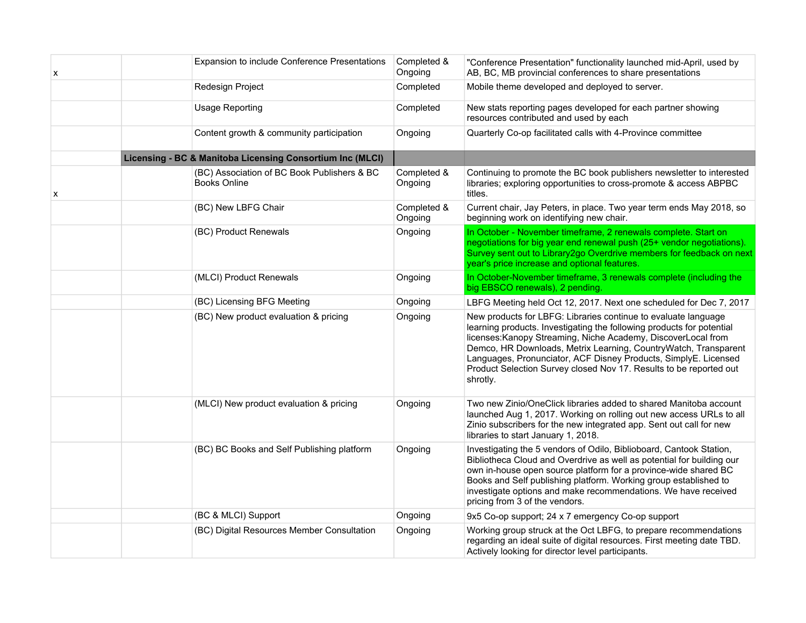| х | Expansion to include Conference Presentations                      | Completed &<br>Ongoing | "Conference Presentation" functionality launched mid-April, used by<br>AB, BC, MB provincial conferences to share presentations                                                                                                                                                                                                                                                                                                  |
|---|--------------------------------------------------------------------|------------------------|----------------------------------------------------------------------------------------------------------------------------------------------------------------------------------------------------------------------------------------------------------------------------------------------------------------------------------------------------------------------------------------------------------------------------------|
|   | Redesign Project                                                   | Completed              | Mobile theme developed and deployed to server.                                                                                                                                                                                                                                                                                                                                                                                   |
|   | <b>Usage Reporting</b>                                             | Completed              | New stats reporting pages developed for each partner showing<br>resources contributed and used by each                                                                                                                                                                                                                                                                                                                           |
|   | Content growth & community participation                           | Ongoing                | Quarterly Co-op facilitated calls with 4-Province committee                                                                                                                                                                                                                                                                                                                                                                      |
|   | Licensing - BC & Manitoba Licensing Consortium Inc (MLCI)          |                        |                                                                                                                                                                                                                                                                                                                                                                                                                                  |
| х | (BC) Association of BC Book Publishers & BC<br><b>Books Online</b> | Completed &<br>Ongoing | Continuing to promote the BC book publishers newsletter to interested<br>libraries; exploring opportunities to cross-promote & access ABPBC<br>titles.                                                                                                                                                                                                                                                                           |
|   | (BC) New LBFG Chair                                                | Completed &<br>Ongoing | Current chair, Jay Peters, in place. Two year term ends May 2018, so<br>beginning work on identifying new chair.                                                                                                                                                                                                                                                                                                                 |
|   | (BC) Product Renewals                                              | Ongoing                | In October - November timeframe, 2 renewals complete. Start on<br>negotiations for big year end renewal push (25+ vendor negotiations).<br>Survey sent out to Library2go Overdrive members for feedback on next<br>year's price increase and optional features.                                                                                                                                                                  |
|   | (MLCI) Product Renewals                                            | Ongoing                | In October-November timeframe, 3 renewals complete (including the<br>big EBSCO renewals), 2 pending.                                                                                                                                                                                                                                                                                                                             |
|   | (BC) Licensing BFG Meeting                                         | Ongoing                | LBFG Meeting held Oct 12, 2017. Next one scheduled for Dec 7, 2017                                                                                                                                                                                                                                                                                                                                                               |
|   | (BC) New product evaluation & pricing                              | Ongoing                | New products for LBFG: Libraries continue to evaluate language<br>learning products. Investigating the following products for potential<br>licenses: Kanopy Streaming, Niche Academy, DiscoverLocal from<br>Demco, HR Downloads, Metrix Learning, CountryWatch, Transparent<br>Languages, Pronunciator, ACF Disney Products, SimplyE. Licensed<br>Product Selection Survey closed Nov 17. Results to be reported out<br>shrotly. |
|   | (MLCI) New product evaluation & pricing                            | Ongoing                | Two new Zinio/OneClick libraries added to shared Manitoba account<br>launched Aug 1, 2017. Working on rolling out new access URLs to all<br>Zinio subscribers for the new integrated app. Sent out call for new<br>libraries to start January 1, 2018.                                                                                                                                                                           |
|   | (BC) BC Books and Self Publishing platform                         | Ongoing                | Investigating the 5 vendors of Odilo, Biblioboard, Cantook Station,<br>Bibliotheca Cloud and Overdrive as well as potential for building our<br>own in-house open source platform for a province-wide shared BC<br>Books and Self publishing platform. Working group established to<br>investigate options and make recommendations. We have received<br>pricing from 3 of the vendors.                                          |
|   | (BC & MLCI) Support                                                | Ongoing                | 9x5 Co-op support; 24 x 7 emergency Co-op support                                                                                                                                                                                                                                                                                                                                                                                |
|   | (BC) Digital Resources Member Consultation                         | Ongoing                | Working group struck at the Oct LBFG, to prepare recommendations<br>regarding an ideal suite of digital resources. First meeting date TBD.<br>Actively looking for director level participants.                                                                                                                                                                                                                                  |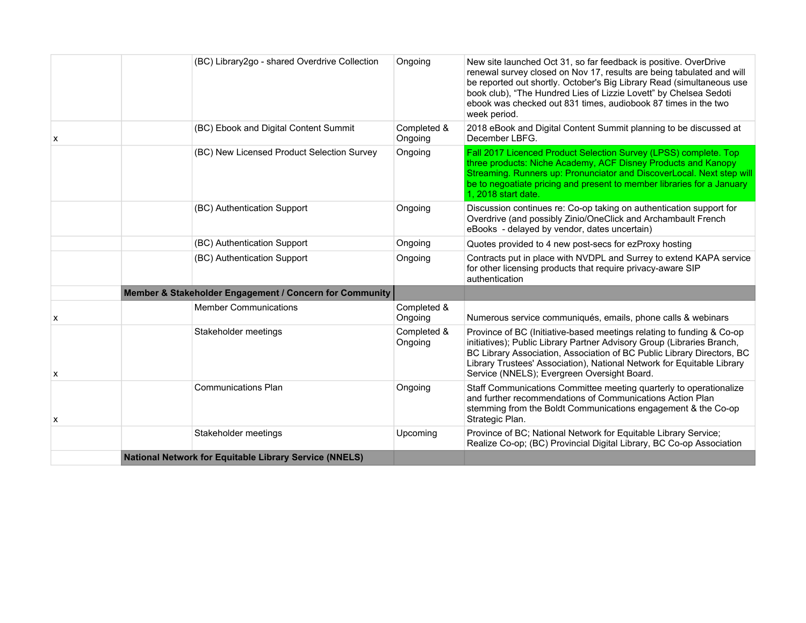|   | (BC) Library2go - shared Overdrive Collection                 | Ongoing                | New site launched Oct 31, so far feedback is positive. OverDrive<br>renewal survey closed on Nov 17, results are being tabulated and will<br>be reported out shortly. October's Big Library Read (simultaneous use<br>book club), "The Hundred Lies of Lizzie Lovett" by Chelsea Sedoti<br>ebook was checked out 831 times, audiobook 87 times in the two<br>week period. |
|---|---------------------------------------------------------------|------------------------|---------------------------------------------------------------------------------------------------------------------------------------------------------------------------------------------------------------------------------------------------------------------------------------------------------------------------------------------------------------------------|
| x | (BC) Ebook and Digital Content Summit                         | Completed &<br>Ongoing | 2018 eBook and Digital Content Summit planning to be discussed at<br>December LBFG.                                                                                                                                                                                                                                                                                       |
|   | (BC) New Licensed Product Selection Survey                    | Ongoing                | Fall 2017 Licenced Product Selection Survey (LPSS) complete. Top<br>three products: Niche Academy, ACF Disney Products and Kanopy<br>Streaming. Runners up: Pronunciator and DiscoverLocal. Next step will<br>be to negoatiate pricing and present to member libraries for a January<br>1, 2018 start date.                                                               |
|   | (BC) Authentication Support                                   | Ongoing                | Discussion continues re: Co-op taking on authentication support for<br>Overdrive (and possibly Zinio/OneClick and Archambault French<br>eBooks - delayed by vendor, dates uncertain)                                                                                                                                                                                      |
|   | (BC) Authentication Support                                   | Ongoing                | Quotes provided to 4 new post-secs for ezProxy hosting                                                                                                                                                                                                                                                                                                                    |
|   | (BC) Authentication Support                                   | Ongoing                | Contracts put in place with NVDPL and Surrey to extend KAPA service<br>for other licensing products that require privacy-aware SIP<br>authentication                                                                                                                                                                                                                      |
|   | Member & Stakeholder Engagement / Concern for Community       |                        |                                                                                                                                                                                                                                                                                                                                                                           |
| X | <b>Member Communications</b>                                  | Completed &<br>Ongoing | Numerous service communiqués, emails, phone calls & webinars                                                                                                                                                                                                                                                                                                              |
| X | Stakeholder meetings                                          | Completed &<br>Ongoing | Province of BC (Initiative-based meetings relating to funding & Co-op<br>initiatives); Public Library Partner Advisory Group (Libraries Branch,<br>BC Library Association, Association of BC Public Library Directors, BC<br>Library Trustees' Association), National Network for Equitable Library<br>Service (NNELS); Evergreen Oversight Board.                        |
| x | <b>Communications Plan</b>                                    | Ongoing                | Staff Communications Committee meeting quarterly to operationalize<br>and further recommendations of Communications Action Plan<br>stemming from the Boldt Communications engagement & the Co-op<br>Strategic Plan.                                                                                                                                                       |
|   | Stakeholder meetings                                          | Upcoming               | Province of BC; National Network for Equitable Library Service;<br>Realize Co-op; (BC) Provincial Digital Library, BC Co-op Association                                                                                                                                                                                                                                   |
|   | <b>National Network for Equitable Library Service (NNELS)</b> |                        |                                                                                                                                                                                                                                                                                                                                                                           |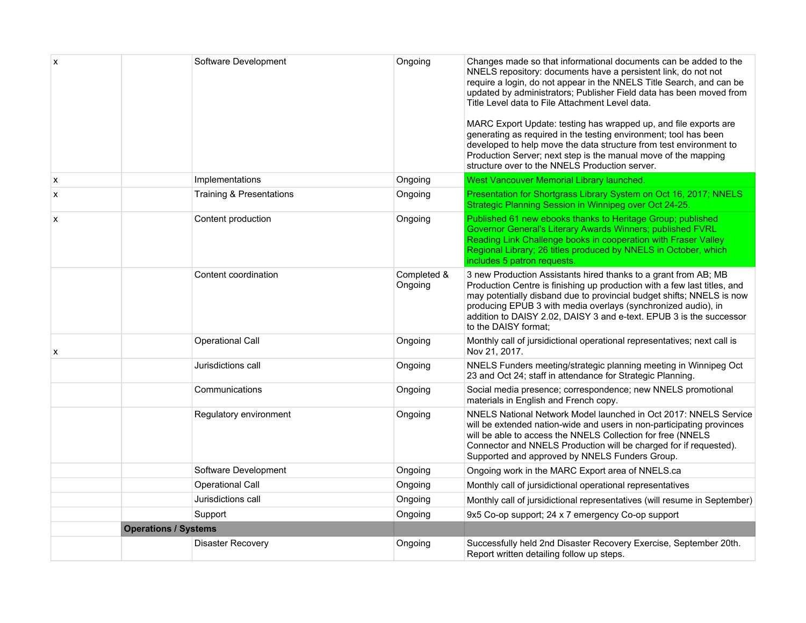| X | Software Development                | Ongoing                | Changes made so that informational documents can be added to the<br>NNELS repository: documents have a persistent link, do not not<br>require a login, do not appear in the NNELS Title Search, and can be<br>updated by administrators; Publisher Field data has been moved from<br>Title Level data to File Attachment Level data.<br>MARC Export Update: testing has wrapped up, and file exports are<br>generating as required in the testing environment; tool has been<br>developed to help move the data structure from test environment to<br>Production Server; next step is the manual move of the mapping<br>structure over to the NNELS Production server. |
|---|-------------------------------------|------------------------|------------------------------------------------------------------------------------------------------------------------------------------------------------------------------------------------------------------------------------------------------------------------------------------------------------------------------------------------------------------------------------------------------------------------------------------------------------------------------------------------------------------------------------------------------------------------------------------------------------------------------------------------------------------------|
| X | Implementations                     | Ongoing                | West Vancouver Memorial Library launched.                                                                                                                                                                                                                                                                                                                                                                                                                                                                                                                                                                                                                              |
| X | <b>Training &amp; Presentations</b> | Ongoing                | Presentation for Shortgrass Library System on Oct 16, 2017; NNELS<br>Strategic Planning Session in Winnipeg over Oct 24-25.                                                                                                                                                                                                                                                                                                                                                                                                                                                                                                                                            |
| X | Content production                  | Ongoing                | Published 61 new ebooks thanks to Heritage Group; published<br>Governor General's Literary Awards Winners; published FVRL<br>Reading Link Challenge books in cooperation with Fraser Valley<br>Regional Library; 26 titles produced by NNELS in October, which<br>includes 5 patron requests.                                                                                                                                                                                                                                                                                                                                                                          |
|   | Content coordination                | Completed &<br>Ongoing | 3 new Production Assistants hired thanks to a grant from AB; MB<br>Production Centre is finishing up production with a few last titles, and<br>may potentially disband due to provincial budget shifts; NNELS is now<br>producing EPUB 3 with media overlays (synchronized audio), in<br>addition to DAISY 2.02, DAISY 3 and e-text. EPUB 3 is the successor<br>to the DAISY format;                                                                                                                                                                                                                                                                                   |
| x | <b>Operational Call</b>             | Ongoing                | Monthly call of jursidictional operational representatives; next call is<br>Nov 21, 2017.                                                                                                                                                                                                                                                                                                                                                                                                                                                                                                                                                                              |
|   | Jurisdictions call                  | Ongoing                | NNELS Funders meeting/strategic planning meeting in Winnipeg Oct<br>23 and Oct 24; staff in attendance for Strategic Planning.                                                                                                                                                                                                                                                                                                                                                                                                                                                                                                                                         |
|   | Communications                      | Ongoing                | Social media presence; correspondence; new NNELS promotional<br>materials in English and French copy.                                                                                                                                                                                                                                                                                                                                                                                                                                                                                                                                                                  |
|   | Regulatory environment              | Ongoing                | NNELS National Network Model launched in Oct 2017: NNELS Service<br>will be extended nation-wide and users in non-participating provinces<br>will be able to access the NNELS Collection for free (NNELS<br>Connector and NNELS Production will be charged for if requested).<br>Supported and approved by NNELS Funders Group.                                                                                                                                                                                                                                                                                                                                        |
|   | Software Development                | Ongoing                | Ongoing work in the MARC Export area of NNELS.ca                                                                                                                                                                                                                                                                                                                                                                                                                                                                                                                                                                                                                       |
|   | Operational Call                    | Ongoing                | Monthly call of jursidictional operational representatives                                                                                                                                                                                                                                                                                                                                                                                                                                                                                                                                                                                                             |
|   | Jurisdictions call                  | Ongoing                | Monthly call of jursidictional representatives (will resume in September)                                                                                                                                                                                                                                                                                                                                                                                                                                                                                                                                                                                              |
|   | Support                             | Ongoing                | 9x5 Co-op support; 24 x 7 emergency Co-op support                                                                                                                                                                                                                                                                                                                                                                                                                                                                                                                                                                                                                      |
|   | <b>Operations / Systems</b>         |                        |                                                                                                                                                                                                                                                                                                                                                                                                                                                                                                                                                                                                                                                                        |
|   | <b>Disaster Recovery</b>            | Ongoing                | Successfully held 2nd Disaster Recovery Exercise, September 20th.<br>Report written detailing follow up steps.                                                                                                                                                                                                                                                                                                                                                                                                                                                                                                                                                         |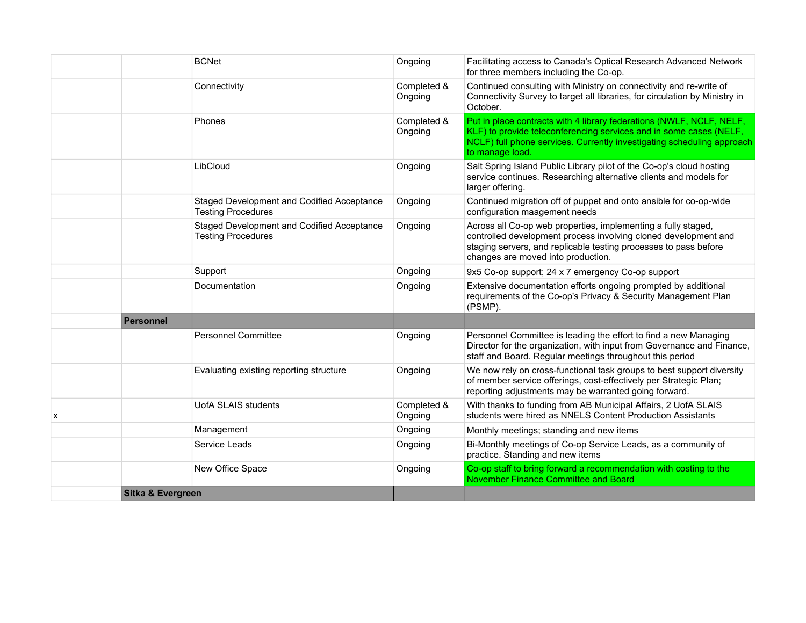|                           |                   | <b>BCNet</b>                                                            | Ongoing                | Facilitating access to Canada's Optical Research Advanced Network<br>for three members including the Co-op.                                                                                                                                |
|---------------------------|-------------------|-------------------------------------------------------------------------|------------------------|--------------------------------------------------------------------------------------------------------------------------------------------------------------------------------------------------------------------------------------------|
|                           |                   | Connectivity                                                            | Completed &<br>Ongoing | Continued consulting with Ministry on connectivity and re-write of<br>Connectivity Survey to target all libraries, for circulation by Ministry in<br>October.                                                                              |
|                           |                   | Phones                                                                  | Completed &<br>Ongoing | Put in place contracts with 4 library federations (NWLF, NCLF, NELF,<br>KLF) to provide teleconferencing services and in some cases (NELF,<br>NCLF) full phone services. Currently investigating scheduling approach<br>to manage load.    |
|                           |                   | LibCloud                                                                | Ongoing                | Salt Spring Island Public Library pilot of the Co-op's cloud hosting<br>service continues. Researching alternative clients and models for<br>larger offering.                                                                              |
|                           |                   | Staged Development and Codified Acceptance<br><b>Testing Procedures</b> | Ongoing                | Continued migration off of puppet and onto ansible for co-op-wide<br>configuration maagement needs                                                                                                                                         |
|                           |                   | Staged Development and Codified Acceptance<br><b>Testing Procedures</b> | Ongoing                | Across all Co-op web properties, implementing a fully staged,<br>controlled development process involving cloned development and<br>staging servers, and replicable testing processes to pass before<br>changes are moved into production. |
|                           |                   | Support                                                                 | Ongoing                | 9x5 Co-op support; 24 x 7 emergency Co-op support                                                                                                                                                                                          |
|                           |                   | Documentation                                                           | Ongoing                | Extensive documentation efforts ongoing prompted by additional<br>requirements of the Co-op's Privacy & Security Management Plan<br>(PSMP).                                                                                                |
|                           | Personnel         |                                                                         |                        |                                                                                                                                                                                                                                            |
|                           |                   | <b>Personnel Committee</b>                                              | Ongoing                | Personnel Committee is leading the effort to find a new Managing<br>Director for the organization, with input from Governance and Finance,<br>staff and Board. Regular meetings throughout this period                                     |
|                           |                   | Evaluating existing reporting structure                                 | Ongoing                | We now rely on cross-functional task groups to best support diversity<br>of member service offerings, cost-effectively per Strategic Plan;<br>reporting adjustments may be warranted going forward.                                        |
| $\boldsymbol{\mathsf{x}}$ |                   | <b>UofA SLAIS students</b>                                              | Completed &<br>Ongoing | With thanks to funding from AB Municipal Affairs, 2 UofA SLAIS<br>students were hired as NNELS Content Production Assistants                                                                                                               |
|                           |                   | Management                                                              | Ongoing                | Monthly meetings; standing and new items                                                                                                                                                                                                   |
|                           |                   | Service Leads                                                           | Ongoing                | Bi-Monthly meetings of Co-op Service Leads, as a community of<br>practice. Standing and new items                                                                                                                                          |
|                           |                   | New Office Space                                                        | Ongoing                | Co-op staff to bring forward a recommendation with costing to the<br>November Finance Committee and Board                                                                                                                                  |
|                           | Sitka & Evergreen |                                                                         |                        |                                                                                                                                                                                                                                            |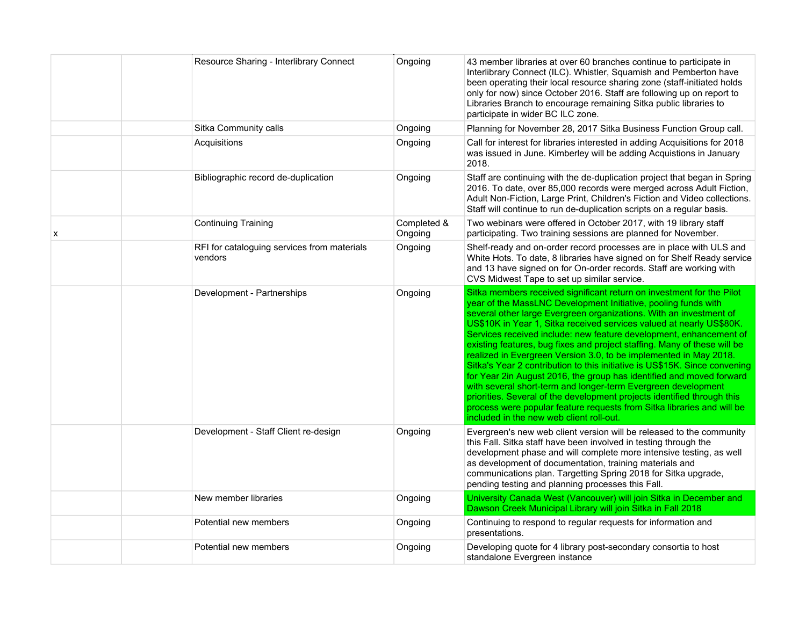|   | Resource Sharing - Interlibrary Connect                | Ongoing                | 43 member libraries at over 60 branches continue to participate in<br>Interlibrary Connect (ILC). Whistler, Squamish and Pemberton have<br>been operating their local resource sharing zone (staff-initiated holds<br>only for now) since October 2016. Staff are following up on report to<br>Libraries Branch to encourage remaining Sitka public libraries to<br>participate in wider BC ILC zone.                                                                                                                                                                                                                                                                                                                                                                                                                                                                                                                                |
|---|--------------------------------------------------------|------------------------|--------------------------------------------------------------------------------------------------------------------------------------------------------------------------------------------------------------------------------------------------------------------------------------------------------------------------------------------------------------------------------------------------------------------------------------------------------------------------------------------------------------------------------------------------------------------------------------------------------------------------------------------------------------------------------------------------------------------------------------------------------------------------------------------------------------------------------------------------------------------------------------------------------------------------------------|
|   | Sitka Community calls                                  | Ongoing                | Planning for November 28, 2017 Sitka Business Function Group call.                                                                                                                                                                                                                                                                                                                                                                                                                                                                                                                                                                                                                                                                                                                                                                                                                                                                   |
|   | Acquisitions                                           | Ongoing                | Call for interest for libraries interested in adding Acquisitions for 2018<br>was issued in June. Kimberley will be adding Acquistions in January<br>2018.                                                                                                                                                                                                                                                                                                                                                                                                                                                                                                                                                                                                                                                                                                                                                                           |
|   | Bibliographic record de-duplication                    | Ongoing                | Staff are continuing with the de-duplication project that began in Spring<br>2016. To date, over 85,000 records were merged across Adult Fiction,<br>Adult Non-Fiction, Large Print, Children's Fiction and Video collections.<br>Staff will continue to run de-duplication scripts on a regular basis.                                                                                                                                                                                                                                                                                                                                                                                                                                                                                                                                                                                                                              |
| x | <b>Continuing Training</b>                             | Completed &<br>Ongoing | Two webinars were offered in October 2017, with 19 library staff<br>participating. Two training sessions are planned for November.                                                                                                                                                                                                                                                                                                                                                                                                                                                                                                                                                                                                                                                                                                                                                                                                   |
|   | RFI for cataloguing services from materials<br>vendors | Ongoing                | Shelf-ready and on-order record processes are in place with ULS and<br>White Hots. To date, 8 libraries have signed on for Shelf Ready service<br>and 13 have signed on for On-order records. Staff are working with<br>CVS Midwest Tape to set up similar service.                                                                                                                                                                                                                                                                                                                                                                                                                                                                                                                                                                                                                                                                  |
|   | Development - Partnerships                             | Ongoing                | Sitka members received significant return on investment for the Pilot<br>year of the MassLNC Development Initiative, pooling funds with<br>several other large Evergreen organizations. With an investment of<br>US\$10K in Year 1, Sitka received services valued at nearly US\$80K.<br>Services received include: new feature development, enhancement of<br>existing features, bug fixes and project staffing. Many of these will be<br>realized in Evergreen Version 3.0, to be implemented in May 2018.<br>Sitka's Year 2 contribution to this initiative is US\$15K. Since convening<br>for Year 2in August 2016, the group has identified and moved forward<br>with several short-term and longer-term Evergreen development<br>priorities. Several of the development projects identified through this<br>process were popular feature requests from Sitka libraries and will be<br>included in the new web client roll-out. |
|   | Development - Staff Client re-design                   | Ongoing                | Evergreen's new web client version will be released to the community<br>this Fall. Sitka staff have been involved in testing through the<br>development phase and will complete more intensive testing, as well<br>as development of documentation, training materials and<br>communications plan. Targetting Spring 2018 for Sitka upgrade,<br>pending testing and planning processes this Fall.                                                                                                                                                                                                                                                                                                                                                                                                                                                                                                                                    |
|   | New member libraries                                   | Ongoing                | University Canada West (Vancouver) will join Sitka in December and<br>Dawson Creek Municipal Library will join Sitka in Fall 2018                                                                                                                                                                                                                                                                                                                                                                                                                                                                                                                                                                                                                                                                                                                                                                                                    |
|   | Potential new members                                  | Ongoing                | Continuing to respond to regular requests for information and<br>presentations.                                                                                                                                                                                                                                                                                                                                                                                                                                                                                                                                                                                                                                                                                                                                                                                                                                                      |
|   | Potential new members                                  | Ongoing                | Developing quote for 4 library post-secondary consortia to host<br>standalone Evergreen instance                                                                                                                                                                                                                                                                                                                                                                                                                                                                                                                                                                                                                                                                                                                                                                                                                                     |